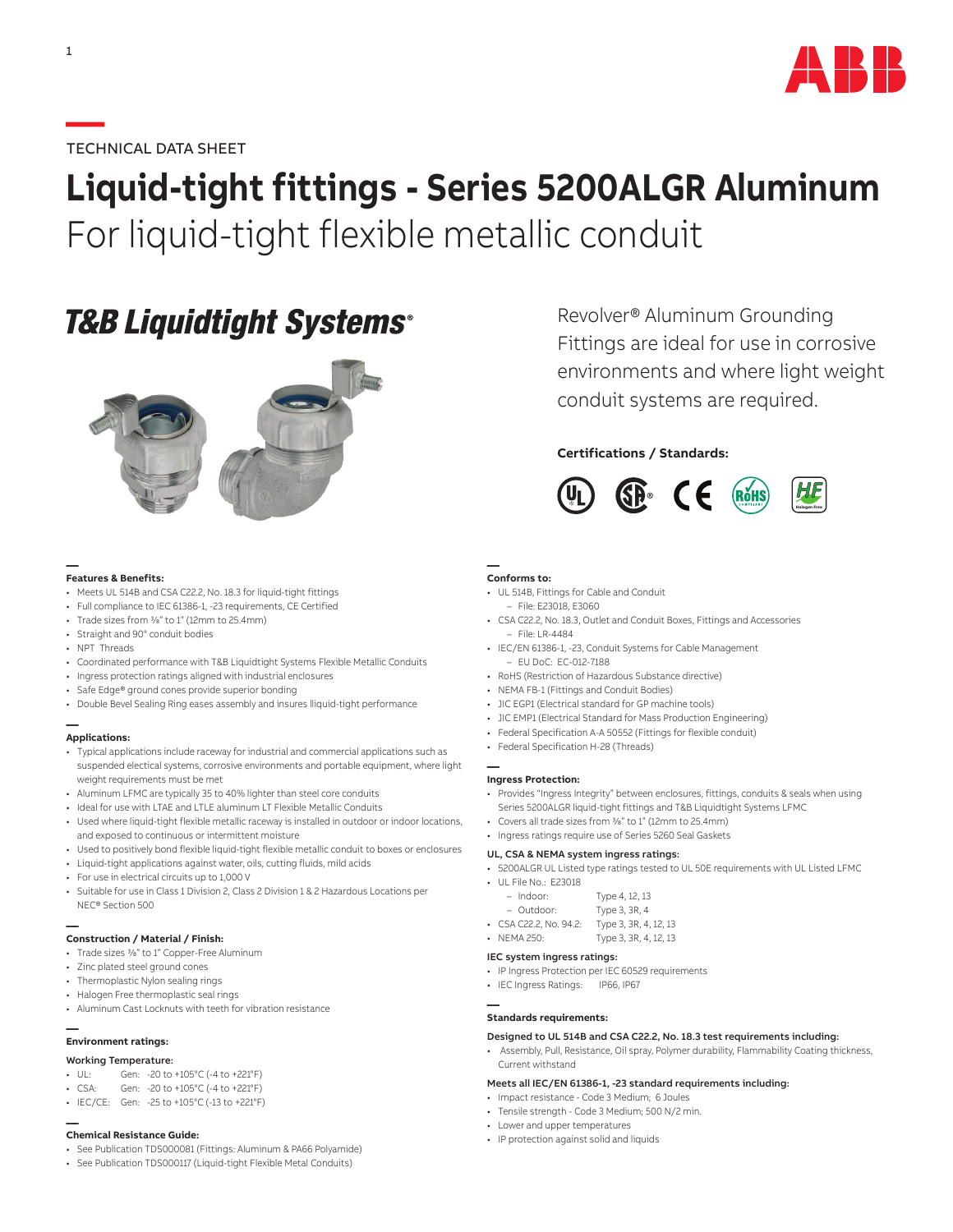

### **—**TECHNICAL DATA SHEET

# **Liquid-tight fittings - Series 5200ALGR Aluminum** For liquid-tight flexible metallic conduit

## **T&B Liquidtight Systems®**



#### **— Features & Benefits:**

- Meets UL 514B and CSA C22.2, No. 18.3 for liquid-tight fittings
- Full compliance to IEC 61386-1, -23 requirements, CE Certified
- Trade sizes from 3/8" to 1" (12mm to 25.4mm)
- Straight and 90° conduit bodies
- NPT Threads
- Coordinated performance with T&B Liquidtight Systems Flexible Metallic Conduits
- Ingress protection ratings aligned with industrial enclosures
- Safe Edge® ground cones provide superior bonding
- Double Bevel Sealing Ring eases assembly and insures lliquid-tight performance

#### **— Applications:**

- Typical applications include raceway for industrial and commercial applications such as suspended electical systems, corrosive environments and portable equipment, where light weight requirements must be met
- Aluminum LFMC are typically 35 to 40% lighter than steel core conduits
- Ideal for use with LTAE and LTLE aluminum LT Flexible Metallic Conduits
- Used where liquid-tight flexible metallic raceway is installed in outdoor or indoor locations, and exposed to continuous or intermittent moisture
- Used to positively bond flexible liquid-tight flexible metallic conduit to boxes or enclosures
- Liquid-tight applications against water, oils, cutting fluids, mild acids
- For use in electrical circuits up to 1,000 V
- Suitable for use in Class 1 Division 2, Class 2 Division 1 & 2 Hazardous Locations per NEC® Section 500

#### **— Construction / Material / Finish:**

- Trade sizes 3/8" to 1" Copper-Free Aluminum
- Zinc plated steel ground cones
- Thermoplastic Nylon sealing rings
- Halogen Free thermoplastic seal rings
- Aluminum Cast Locknuts with teeth for vibration resistance

#### **— Environment ratings:**

- Working Temperature:
- UL: Gen: -20 to +105°C (-4 to +221°F)
- CSA: Gen: -20 to +105°C (-4 to +221°F)
- IEC/CE: Gen: -25 to +105°C (-13 to +221°F)

## **— Chemical Resistance Guide:**

- See Publication TDS000081 (Fittings: Aluminum & PA66 Polyamide)
- See Publication TDS000117 (Liquid-tight Flexible Metal Conduits)

Revolver® Aluminum Grounding Fittings are ideal for use in corrosive environments and where light weight conduit systems are required.

### **Certifications / Standards:**



#### **— Conforms to:**

- UL 514B, Fittings for Cable and Conduit
- File: E23018, E3060
- CSA C22.2, No. 18.3, Outlet and Conduit Boxes, Fittings and Accessories  $-$  File: LR-4484
- IEC/EN 61386-1, -23, Conduit Systems for Cable Management – EU DoC: EC-012-7188
- RoHS (Restriction of Hazardous Substance directive)
- NEMA FB-1 (Fittings and Conduit Bodies)
- JIC EGP1 (Electrical standard for GP machine tools)
- JIC EMP1 (Electrical Standard for Mass Production Engineering)
- Federal Specification A-A 50552 (Fittings for flexible conduit)
- Federal Specification H-28 (Threads)

#### **— Ingress Protection:**

- Provides "Ingress Integrity" between enclosures, fittings, conduits & seals when using Series 5200ALGR liquid-tight fittings and T&B Liquidtight Systems LFMC
- Covers all trade sizes from 3/8" to 1" (12mm to 25.4mm)
- Ingress ratings require use of Series 5260 Seal Gaskets

#### UL, CSA & NEMA system ingress ratings:

- 5200ALGR UL Listed type ratings tested to UL 50E requirements with UL Listed LFMC
- UL File No.: E23018

| $-$ Indoor:          | Type 4, 12, 13        |
|----------------------|-----------------------|
| - Outdoor:           | Type 3, 3R, 4         |
| CSA C22.2, No. 94.2: | Type 3, 3R, 4, 12, 13 |

• NEMA 250: Type 3, 3R, 4, 12, 13

#### IEC system ingress ratings:

- IP Ingress Protection per IEC 60529 requirements
- IEC Ingress Ratings: IP66, IP67

#### **— Standards requirements:**

#### Designed to UL 514B and CSA C22.2, No. 18.3 test requirements including:

• Assembly, Pull, Resistance, Oil spray, Polymer durability, Flammability Coating thickness, Current withstand

#### Meets all IEC/EN 61386-1, -23 standard requirements including:

- Impact resistance Code 3 Medium; 6 Joules
- Tensile strength Code 3 Medium; 500 N/2 min.
- Lower and upper temperatures
- IP protection against solid and liquids